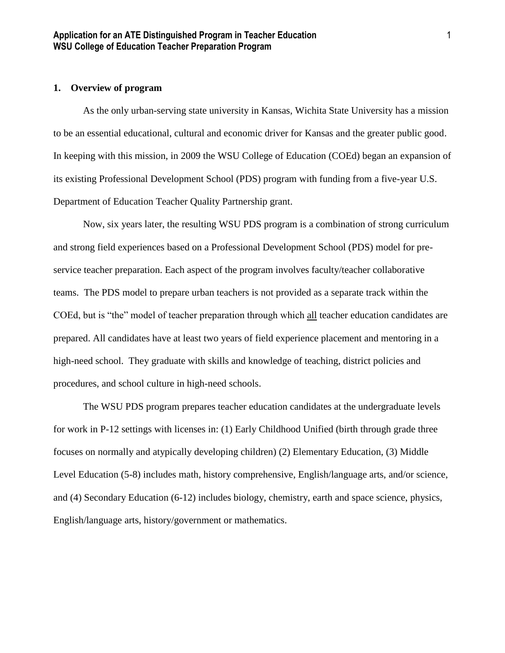# **1. Overview of program**

As the only urban-serving state university in Kansas, Wichita State University has a mission to be an essential educational, cultural and economic driver for Kansas and the greater public good. In keeping with this mission, in 2009 the WSU College of Education (COEd) began an expansion of its existing Professional Development School (PDS) program with funding from a five-year U.S. Department of Education Teacher Quality Partnership grant.

Now, six years later, the resulting WSU PDS program is a combination of strong curriculum and strong field experiences based on a Professional Development School (PDS) model for preservice teacher preparation. Each aspect of the program involves faculty/teacher collaborative teams. The PDS model to prepare urban teachers is not provided as a separate track within the COEd, but is "the" model of teacher preparation through which all teacher education candidates are prepared. All candidates have at least two years of field experience placement and mentoring in a high-need school. They graduate with skills and knowledge of teaching, district policies and procedures, and school culture in high-need schools.

The WSU PDS program prepares teacher education candidates at the undergraduate levels for work in P-12 settings with licenses in: (1) Early Childhood Unified (birth through grade three focuses on normally and atypically developing children) (2) Elementary Education, (3) Middle Level Education (5-8) includes math, history comprehensive, English/language arts, and/or science, and (4) Secondary Education (6-12) includes biology, chemistry, earth and space science, physics, English/language arts, history/government or mathematics.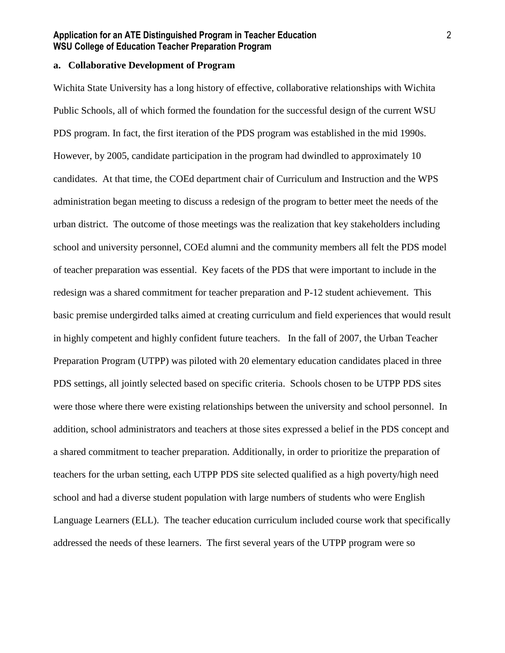## **a. Collaborative Development of Program**

Wichita State University has a long history of effective, collaborative relationships with Wichita Public Schools, all of which formed the foundation for the successful design of the current WSU PDS program. In fact, the first iteration of the PDS program was established in the mid 1990s. However, by 2005, candidate participation in the program had dwindled to approximately 10 candidates. At that time, the COEd department chair of Curriculum and Instruction and the WPS administration began meeting to discuss a redesign of the program to better meet the needs of the urban district. The outcome of those meetings was the realization that key stakeholders including school and university personnel, COEd alumni and the community members all felt the PDS model of teacher preparation was essential. Key facets of the PDS that were important to include in the redesign was a shared commitment for teacher preparation and P-12 student achievement. This basic premise undergirded talks aimed at creating curriculum and field experiences that would result in highly competent and highly confident future teachers. In the fall of 2007, the Urban Teacher Preparation Program (UTPP) was piloted with 20 elementary education candidates placed in three PDS settings, all jointly selected based on specific criteria. Schools chosen to be UTPP PDS sites were those where there were existing relationships between the university and school personnel. In addition, school administrators and teachers at those sites expressed a belief in the PDS concept and a shared commitment to teacher preparation. Additionally, in order to prioritize the preparation of teachers for the urban setting, each UTPP PDS site selected qualified as a high poverty/high need school and had a diverse student population with large numbers of students who were English Language Learners (ELL). The teacher education curriculum included course work that specifically addressed the needs of these learners. The first several years of the UTPP program were so

2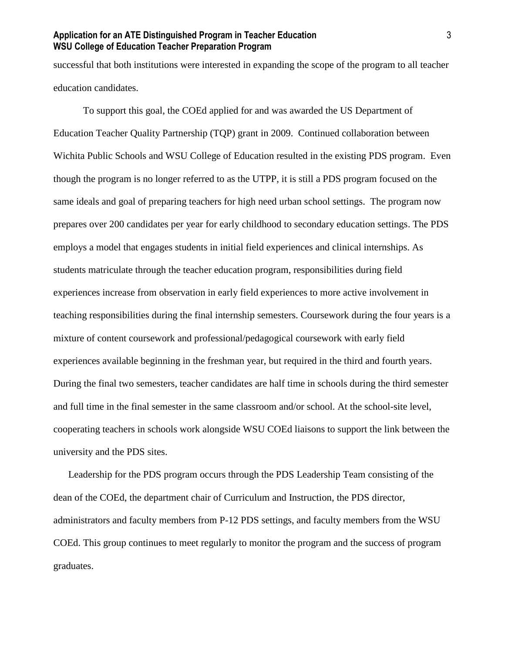successful that both institutions were interested in expanding the scope of the program to all teacher education candidates.

To support this goal, the COEd applied for and was awarded the US Department of Education Teacher Quality Partnership (TQP) grant in 2009. Continued collaboration between Wichita Public Schools and WSU College of Education resulted in the existing PDS program. Even though the program is no longer referred to as the UTPP, it is still a PDS program focused on the same ideals and goal of preparing teachers for high need urban school settings. The program now prepares over 200 candidates per year for early childhood to secondary education settings. The PDS employs a model that engages students in initial field experiences and clinical internships. As students matriculate through the teacher education program, responsibilities during field experiences increase from observation in early field experiences to more active involvement in teaching responsibilities during the final internship semesters. Coursework during the four years is a mixture of content coursework and professional/pedagogical coursework with early field experiences available beginning in the freshman year, but required in the third and fourth years. During the final two semesters, teacher candidates are half time in schools during the third semester and full time in the final semester in the same classroom and/or school. At the school-site level, cooperating teachers in schools work alongside WSU COEd liaisons to support the link between the university and the PDS sites.

Leadership for the PDS program occurs through the PDS Leadership Team consisting of the dean of the COEd, the department chair of Curriculum and Instruction, the PDS director, administrators and faculty members from P-12 PDS settings, and faculty members from the WSU COEd. This group continues to meet regularly to monitor the program and the success of program graduates.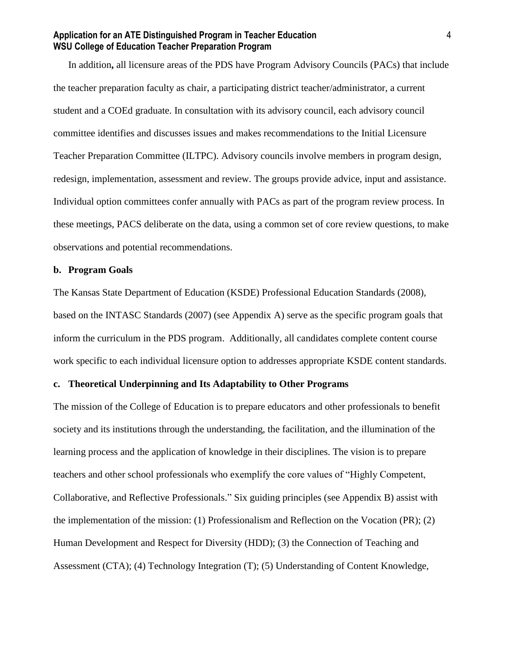In addition**,** all licensure areas of the PDS have Program Advisory Councils (PACs) that include the teacher preparation faculty as chair, a participating district teacher/administrator, a current student and a COEd graduate. In consultation with its advisory council, each advisory council committee identifies and discusses issues and makes recommendations to the Initial Licensure Teacher Preparation Committee (ILTPC). Advisory councils involve members in program design, redesign, implementation, assessment and review. The groups provide advice, input and assistance. Individual option committees confer annually with PACs as part of the program review process. In these meetings, PACS deliberate on the data, using a common set of core review questions, to make observations and potential recommendations.

#### **b. Program Goals**

The Kansas State Department of Education (KSDE) Professional Education Standards (2008), based on the INTASC Standards (2007) (see Appendix A) serve as the specific program goals that inform the curriculum in the PDS program. Additionally, all candidates complete content course work specific to each individual licensure option to addresses appropriate KSDE content standards.

#### **c. Theoretical Underpinning and Its Adaptability to Other Programs**

The mission of the College of Education is to prepare educators and other professionals to benefit society and its institutions through the understanding, the facilitation, and the illumination of the learning process and the application of knowledge in their disciplines. The vision is to prepare teachers and other school professionals who exemplify the core values of "Highly Competent, Collaborative, and Reflective Professionals." Six guiding principles (see Appendix B) assist with the implementation of the mission: (1) Professionalism and Reflection on the Vocation (PR); (2) Human Development and Respect for Diversity (HDD); (3) the Connection of Teaching and Assessment (CTA); (4) Technology Integration (T); (5) Understanding of Content Knowledge,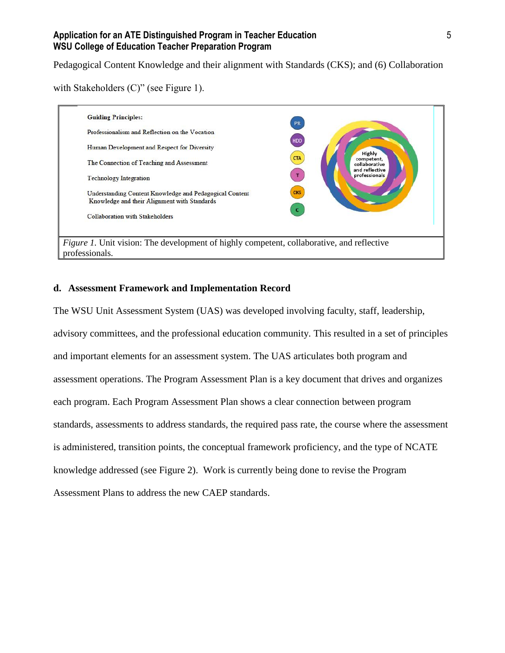Pedagogical Content Knowledge and their alignment with Standards (CKS); and (6) Collaboration

with Stakeholders (C)" (see Figure 1).



# **d. Assessment Framework and Implementation Record**

The WSU Unit Assessment System (UAS) was developed involving faculty, staff, leadership, advisory committees, and the professional education community. This resulted in a set of principles and important elements for an assessment system. The UAS articulates both program and assessment operations. The Program Assessment Plan is a key document that drives and organizes each program. Each Program Assessment Plan shows a clear connection between program standards, assessments to address standards, the required pass rate, the course where the assessment is administered, transition points, the conceptual framework proficiency, and the type of NCATE knowledge addressed (see Figure 2). Work is currently being done to revise the Program Assessment Plans to address the new CAEP standards.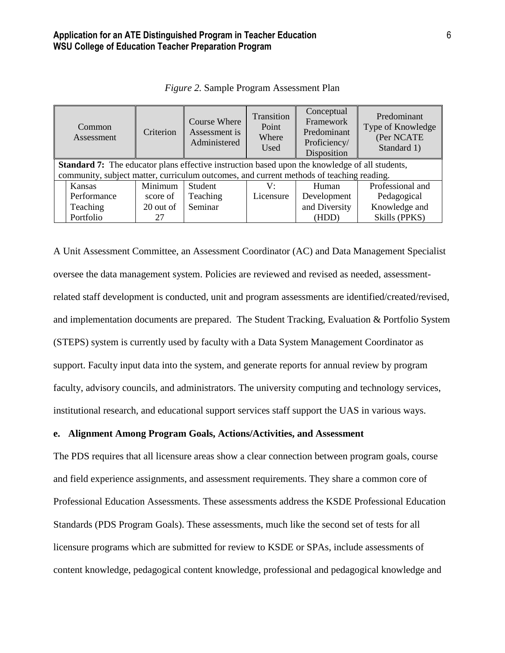|                                                                                                | Common<br>Assessment | Criterion | <b>Course Where</b><br>Assessment is<br>Administered | Transition<br>Point<br>Where<br>Used | Conceptual<br>Framework<br>Predominant<br>Proficiency/<br>Disposition | Predominant<br>Type of Knowledge<br>(Per NCATE<br>Standard 1) |
|------------------------------------------------------------------------------------------------|----------------------|-----------|------------------------------------------------------|--------------------------------------|-----------------------------------------------------------------------|---------------------------------------------------------------|
| Standard 7: The educator plans effective instruction based upon the knowledge of all students, |                      |           |                                                      |                                      |                                                                       |                                                               |
| community, subject matter, curriculum outcomes, and current methods of teaching reading.       |                      |           |                                                      |                                      |                                                                       |                                                               |
|                                                                                                | Kansas               | Minimum   | Student                                              | V÷                                   | Human                                                                 | Professional and                                              |
|                                                                                                | Performance          | score of  | Teaching                                             | Licensure                            | Development                                                           | Pedagogical                                                   |
|                                                                                                | Teaching             | 20 out of | Seminar                                              |                                      | and Diversity                                                         | Knowledge and                                                 |
|                                                                                                | Portfolio            | 27        |                                                      |                                      | (HDD)                                                                 | Skills (PPKS)                                                 |

*Figure 2.* Sample Program Assessment Plan

A Unit Assessment Committee, an Assessment Coordinator (AC) and Data Management Specialist oversee the data management system. Policies are reviewed and revised as needed, assessmentrelated staff development is conducted, unit and program assessments are identified/created/revised, and implementation documents are prepared. The Student Tracking, Evaluation & Portfolio System (STEPS) system is currently used by faculty with a Data System Management Coordinator as support. Faculty input data into the system, and generate reports for annual review by program faculty, advisory councils, and administrators. The university computing and technology services, institutional research, and educational support services staff support the UAS in various ways.

#### **e. Alignment Among Program Goals, Actions/Activities, and Assessment**

The PDS requires that all licensure areas show a clear connection between program goals, course and field experience assignments, and assessment requirements. They share a common core of Professional Education Assessments. These assessments address the KSDE Professional Education Standards (PDS Program Goals). These assessments, much like the second set of tests for all licensure programs which are submitted for review to KSDE or SPAs, include assessments of content knowledge, pedagogical content knowledge, professional and pedagogical knowledge and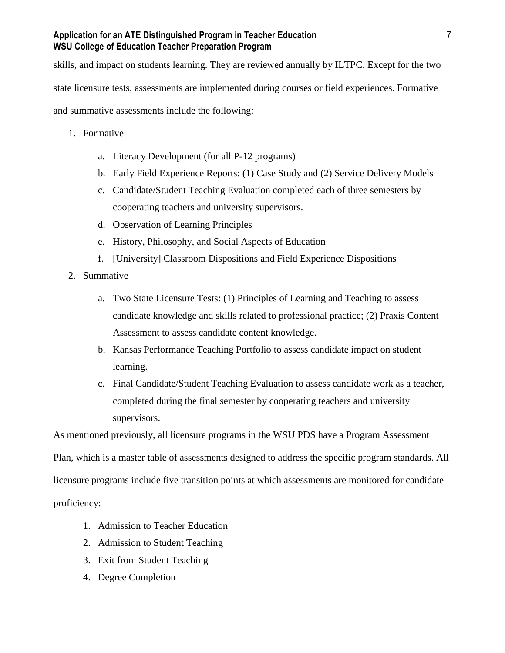skills, and impact on students learning. They are reviewed annually by ILTPC. Except for the two state licensure tests, assessments are implemented during courses or field experiences. Formative and summative assessments include the following:

- 1. Formative
	- a. Literacy Development (for all P-12 programs)
	- b. Early Field Experience Reports: (1) Case Study and (2) Service Delivery Models
	- c. Candidate/Student Teaching Evaluation completed each of three semesters by cooperating teachers and university supervisors.
	- d. Observation of Learning Principles
	- e. History, Philosophy, and Social Aspects of Education
	- f. [University] Classroom Dispositions and Field Experience Dispositions
- 2. Summative
	- a. Two State Licensure Tests: (1) Principles of Learning and Teaching to assess candidate knowledge and skills related to professional practice; (2) Praxis Content Assessment to assess candidate content knowledge.
	- b. Kansas Performance Teaching Portfolio to assess candidate impact on student learning.
	- c. Final Candidate/Student Teaching Evaluation to assess candidate work as a teacher, completed during the final semester by cooperating teachers and university supervisors.

As mentioned previously, all licensure programs in the WSU PDS have a Program Assessment

Plan, which is a master table of assessments designed to address the specific program standards. All

licensure programs include five transition points at which assessments are monitored for candidate

proficiency:

- 1. Admission to Teacher Education
- 2. Admission to Student Teaching
- 3. Exit from Student Teaching
- 4. Degree Completion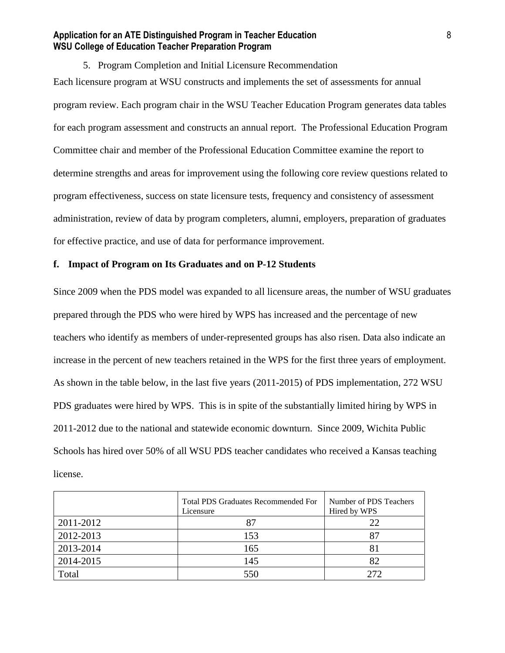5. Program Completion and Initial Licensure Recommendation Each licensure program at WSU constructs and implements the set of assessments for annual program review. Each program chair in the WSU Teacher Education Program generates data tables for each program assessment and constructs an annual report. The Professional Education Program Committee chair and member of the Professional Education Committee examine the report to determine strengths and areas for improvement using the following core review questions related to program effectiveness, success on state licensure tests, frequency and consistency of assessment administration, review of data by program completers, alumni, employers, preparation of graduates for effective practice, and use of data for performance improvement.

# **f. Impact of Program on Its Graduates and on P-12 Students**

Since 2009 when the PDS model was expanded to all licensure areas, the number of WSU graduates prepared through the PDS who were hired by WPS has increased and the percentage of new teachers who identify as members of under-represented groups has also risen. Data also indicate an increase in the percent of new teachers retained in the WPS for the first three years of employment. As shown in the table below, in the last five years (2011-2015) of PDS implementation, 272 WSU PDS graduates were hired by WPS. This is in spite of the substantially limited hiring by WPS in 2011-2012 due to the national and statewide economic downturn. Since 2009, Wichita Public Schools has hired over 50% of all WSU PDS teacher candidates who received a Kansas teaching license.

|           | <b>Total PDS Graduates Recommended For</b><br>Licensure | Number of PDS Teachers<br>Hired by WPS |
|-----------|---------------------------------------------------------|----------------------------------------|
| 2011-2012 | 87                                                      | 22                                     |
| 2012-2013 | 153                                                     | 87                                     |
| 2013-2014 | 165                                                     | 81                                     |
| 2014-2015 | 145                                                     | 82                                     |
| Total     | 550                                                     | 272                                    |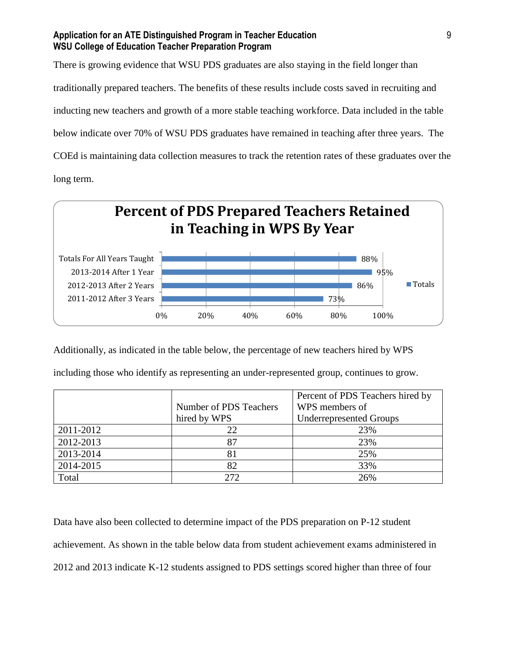There is growing evidence that WSU PDS graduates are also staying in the field longer than traditionally prepared teachers. The benefits of these results include costs saved in recruiting and inducting new teachers and growth of a more stable teaching workforce. Data included in the table below indicate over 70% of WSU PDS graduates have remained in teaching after three years. The COEd is maintaining data collection measures to track the retention rates of these graduates over the long term.



Additionally, as indicated in the table below, the percentage of new teachers hired by WPS

|           |                        | Percent of PDS Teachers hired by |
|-----------|------------------------|----------------------------------|
|           | Number of PDS Teachers | WPS members of                   |
|           | hired by WPS           | <b>Underrepresented Groups</b>   |
| 2011-2012 | 22                     | 23%                              |
| 2012-2013 | 87                     | 23%                              |
| 2013-2014 | 81                     | 25%                              |
| 2014-2015 | 82                     | 33%                              |
| Total     | 272                    | 26%                              |

including those who identify as representing an under-represented group, continues to grow.

Data have also been collected to determine impact of the PDS preparation on P-12 student achievement. As shown in the table below data from student achievement exams administered in 2012 and 2013 indicate K-12 students assigned to PDS settings scored higher than three of four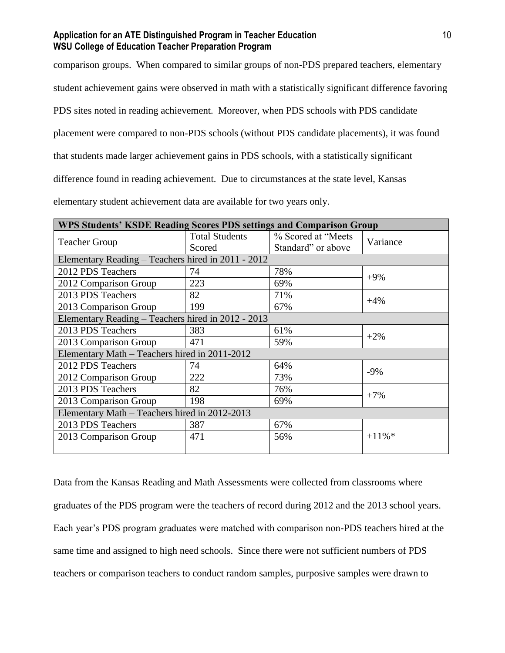comparison groups. When compared to similar groups of non-PDS prepared teachers, elementary

student achievement gains were observed in math with a statistically significant difference favoring

PDS sites noted in reading achievement. Moreover, when PDS schools with PDS candidate

placement were compared to non-PDS schools (without PDS candidate placements), it was found

that students made larger achievement gains in PDS schools, with a statistically significant

difference found in reading achievement. Due to circumstances at the state level, Kansas

elementary student achievement data are available for two years only.

| <b>WPS Students' KSDE Reading Scores PDS settings and Comparison Group</b> |                       |                     |           |  |
|----------------------------------------------------------------------------|-----------------------|---------------------|-----------|--|
| <b>Teacher Group</b>                                                       | <b>Total Students</b> | % Scored at "Meets" | Variance  |  |
|                                                                            | Scored                | Standard" or above  |           |  |
| Elementary Reading - Teachers hired in 2011 - 2012                         |                       |                     |           |  |
| 2012 PDS Teachers                                                          | 74                    | 78%                 | $+9\%$    |  |
| 2012 Comparison Group                                                      | 223                   | 69%                 |           |  |
| 2013 PDS Teachers                                                          | 82                    | 71%                 | $+4%$     |  |
| 2013 Comparison Group                                                      | 199                   | 67%                 |           |  |
| Elementary Reading - Teachers hired in 2012 - 2013                         |                       |                     |           |  |
| 2013 PDS Teachers                                                          | 383                   | 61%                 | $+2\%$    |  |
| 2013 Comparison Group                                                      | 471                   | 59%                 |           |  |
| Elementary Math - Teachers hired in 2011-2012                              |                       |                     |           |  |
| 2012 PDS Teachers                                                          | 74                    | 64%                 | $-9%$     |  |
| 2012 Comparison Group                                                      | 222                   | 73%                 |           |  |
| 2013 PDS Teachers                                                          | 82                    | 76%                 |           |  |
| 2013 Comparison Group                                                      | 198                   | 69%                 | $+7%$     |  |
| Elementary Math - Teachers hired in 2012-2013                              |                       |                     |           |  |
| 2013 PDS Teachers                                                          | 387                   | 67%                 |           |  |
| 2013 Comparison Group                                                      | 471                   | 56%                 | $+11\%$ * |  |
|                                                                            |                       |                     |           |  |

Data from the Kansas Reading and Math Assessments were collected from classrooms where graduates of the PDS program were the teachers of record during 2012 and the 2013 school years. Each year's PDS program graduates were matched with comparison non-PDS teachers hired at the same time and assigned to high need schools. Since there were not sufficient numbers of PDS teachers or comparison teachers to conduct random samples, purposive samples were drawn to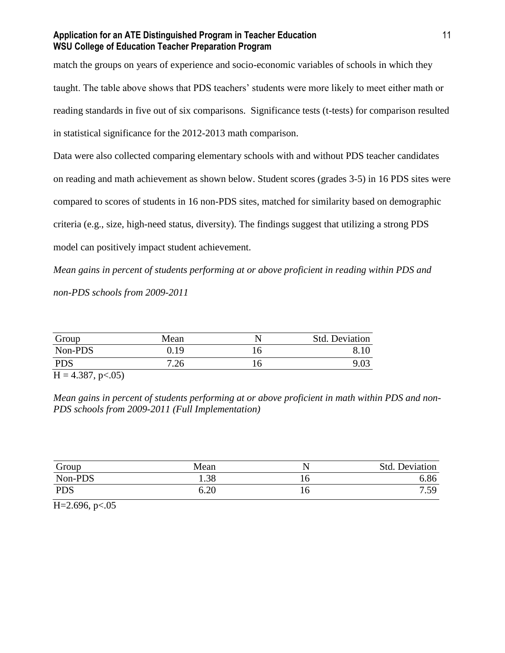match the groups on years of experience and socio-economic variables of schools in which they taught. The table above shows that PDS teachers' students were more likely to meet either math or reading standards in five out of six comparisons. Significance tests (t-tests) for comparison resulted in statistical significance for the 2012-2013 math comparison.

Data were also collected comparing elementary schools with and without PDS teacher candidates

on reading and math achievement as shown below. Student scores (grades 3-5) in 16 PDS sites were

compared to scores of students in 16 non-PDS sites, matched for similarity based on demographic

criteria (e.g., size, high-need status, diversity). The findings suggest that utilizing a strong PDS

model can positively impact student achievement.

*Mean gains in percent of students performing at or above proficient in reading within PDS and non-PDS schools from 2009-2011*

| Group      | Mean |    | <b>Std. Deviation</b> |
|------------|------|----|-----------------------|
| Non-PDS    | 0.19 | ιO |                       |
| <b>PDS</b> | 7.26 |    |                       |

 $H = 4.387, p < .05$ 

*Mean gains in percent of students performing at or above proficient in math within PDS and non-PDS schools from 2009-2011 (Full Implementation)*

| Group      | Mean     | Std. Deviation |
|------------|----------|----------------|
| Non-PDS    | 1.38     | 6.86           |
| <b>PDS</b> | $6.20\,$ | 7.59<br>ر ر.   |

 $H=2.696, p<.05$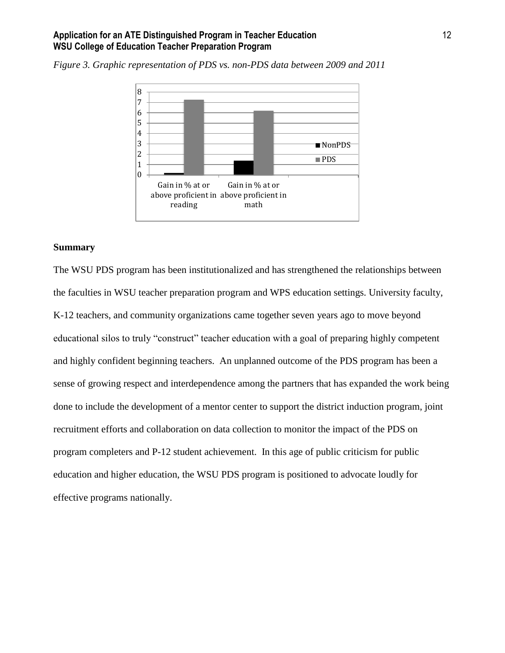

*Figure 3. Graphic representation of PDS vs. non-PDS data between 2009 and 2011*

#### **Summary**

The WSU PDS program has been institutionalized and has strengthened the relationships between the faculties in WSU teacher preparation program and WPS education settings. University faculty, K-12 teachers, and community organizations came together seven years ago to move beyond educational silos to truly "construct" teacher education with a goal of preparing highly competent and highly confident beginning teachers. An unplanned outcome of the PDS program has been a sense of growing respect and interdependence among the partners that has expanded the work being done to include the development of a mentor center to support the district induction program, joint recruitment efforts and collaboration on data collection to monitor the impact of the PDS on program completers and P-12 student achievement. In this age of public criticism for public education and higher education, the WSU PDS program is positioned to advocate loudly for effective programs nationally.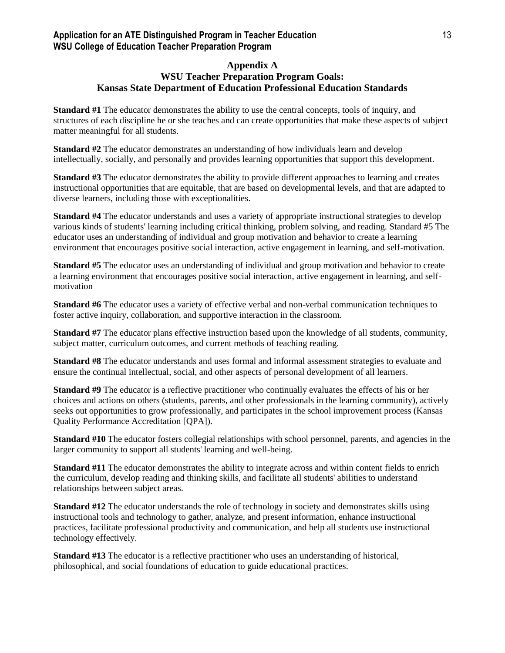#### **Appendix A WSU Teacher Preparation Program Goals: Kansas State Department of Education Professional Education Standards**

**Standard #1** The educator demonstrates the ability to use the central concepts, tools of inquiry, and structures of each discipline he or she teaches and can create opportunities that make these aspects of subject matter meaningful for all students.

**Standard #2** The educator demonstrates an understanding of how individuals learn and develop intellectually, socially, and personally and provides learning opportunities that support this development.

**Standard #3** The educator demonstrates the ability to provide different approaches to learning and creates instructional opportunities that are equitable, that are based on developmental levels, and that are adapted to diverse learners, including those with exceptionalities.

**Standard #4** The educator understands and uses a variety of appropriate instructional strategies to develop various kinds of students' learning including critical thinking, problem solving, and reading. Standard #5 The educator uses an understanding of individual and group motivation and behavior to create a learning environment that encourages positive social interaction, active engagement in learning, and self-motivation.

**Standard #5** The educator uses an understanding of individual and group motivation and behavior to create a learning environment that encourages positive social interaction, active engagement in learning, and selfmotivation

**Standard #6** The educator uses a variety of effective verbal and non-verbal communication techniques to foster active inquiry, collaboration, and supportive interaction in the classroom.

**Standard #7** The educator plans effective instruction based upon the knowledge of all students, community, subject matter, curriculum outcomes, and current methods of teaching reading.

**Standard #8** The educator understands and uses formal and informal assessment strategies to evaluate and ensure the continual intellectual, social, and other aspects of personal development of all learners.

**Standard #9** The educator is a reflective practitioner who continually evaluates the effects of his or her choices and actions on others (students, parents, and other professionals in the learning community), actively seeks out opportunities to grow professionally, and participates in the school improvement process (Kansas Quality Performance Accreditation [QPA]).

**Standard #10** The educator fosters collegial relationships with school personnel, parents, and agencies in the larger community to support all students' learning and well-being.

**Standard #11** The educator demonstrates the ability to integrate across and within content fields to enrich the curriculum, develop reading and thinking skills, and facilitate all students' abilities to understand relationships between subject areas.

**Standard #12** The educator understands the role of technology in society and demonstrates skills using instructional tools and technology to gather, analyze, and present information, enhance instructional practices, facilitate professional productivity and communication, and help all students use instructional technology effectively.

**Standard #13** The educator is a reflective practitioner who uses an understanding of historical, philosophical, and social foundations of education to guide educational practices.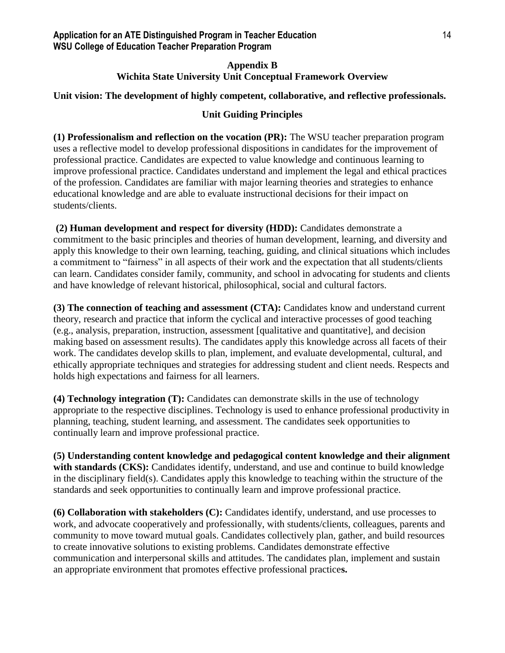# **Appendix B Wichita State University Unit Conceptual Framework Overview**

# **Unit vision: The development of highly competent, collaborative, and reflective professionals.**

# **Unit Guiding Principles**

**(1) Professionalism and reflection on the vocation (PR):** The WSU teacher preparation program uses a reflective model to develop professional dispositions in candidates for the improvement of professional practice. Candidates are expected to value knowledge and continuous learning to improve professional practice. Candidates understand and implement the legal and ethical practices of the profession. Candidates are familiar with major learning theories and strategies to enhance educational knowledge and are able to evaluate instructional decisions for their impact on students/clients.

**(2) Human development and respect for diversity (HDD):** Candidates demonstrate a commitment to the basic principles and theories of human development, learning, and diversity and apply this knowledge to their own learning, teaching, guiding, and clinical situations which includes a commitment to "fairness" in all aspects of their work and the expectation that all students/clients can learn. Candidates consider family, community, and school in advocating for students and clients and have knowledge of relevant historical, philosophical, social and cultural factors.

**(3) The connection of teaching and assessment (CTA):** Candidates know and understand current theory, research and practice that inform the cyclical and interactive processes of good teaching (e.g., analysis, preparation, instruction, assessment [qualitative and quantitative], and decision making based on assessment results). The candidates apply this knowledge across all facets of their work. The candidates develop skills to plan, implement, and evaluate developmental, cultural, and ethically appropriate techniques and strategies for addressing student and client needs. Respects and holds high expectations and fairness for all learners.

**(4) Technology integration (T):** Candidates can demonstrate skills in the use of technology appropriate to the respective disciplines. Technology is used to enhance professional productivity in planning, teaching, student learning, and assessment. The candidates seek opportunities to continually learn and improve professional practice.

**(5) Understanding content knowledge and pedagogical content knowledge and their alignment**  with standards (CKS): Candidates identify, understand, and use and continue to build knowledge in the disciplinary field(s). Candidates apply this knowledge to teaching within the structure of the standards and seek opportunities to continually learn and improve professional practice.

**(6) Collaboration with stakeholders (C):** Candidates identify, understand, and use processes to work, and advocate cooperatively and professionally, with students/clients, colleagues, parents and community to move toward mutual goals. Candidates collectively plan, gather, and build resources to create innovative solutions to existing problems. Candidates demonstrate effective communication and interpersonal skills and attitudes. The candidates plan, implement and sustain an appropriate environment that promotes effective professional practice**s.**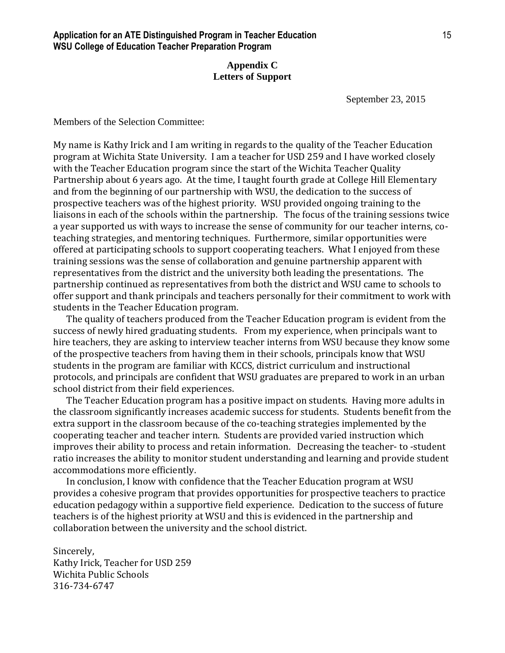# **Appendix C Letters of Support**

September 23, 2015

Members of the Selection Committee:

My name is Kathy Irick and I am writing in regards to the quality of the Teacher Education program at Wichita State University. I am a teacher for USD 259 and I have worked closely with the Teacher Education program since the start of the Wichita Teacher Quality Partnership about 6 years ago. At the time, I taught fourth grade at College Hill Elementary and from the beginning of our partnership with WSU, the dedication to the success of prospective teachers was of the highest priority. WSU provided ongoing training to the liaisons in each of the schools within the partnership. The focus of the training sessions twice a year supported us with ways to increase the sense of community for our teacher interns, coteaching strategies, and mentoring techniques. Furthermore, similar opportunities were offered at participating schools to support cooperating teachers. What I enjoyed from these training sessions was the sense of collaboration and genuine partnership apparent with representatives from the district and the university both leading the presentations. The partnership continued as representatives from both the district and WSU came to schools to offer support and thank principals and teachers personally for their commitment to work with students in the Teacher Education program.

 The quality of teachers produced from the Teacher Education program is evident from the success of newly hired graduating students. From my experience, when principals want to hire teachers, they are asking to interview teacher interns from WSU because they know some of the prospective teachers from having them in their schools, principals know that WSU students in the program are familiar with KCCS, district curriculum and instructional protocols, and principals are confident that WSU graduates are prepared to work in an urban school district from their field experiences.

 The Teacher Education program has a positive impact on students. Having more adults in the classroom significantly increases academic success for students. Students benefit from the extra support in the classroom because of the co-teaching strategies implemented by the cooperating teacher and teacher intern. Students are provided varied instruction which improves their ability to process and retain information. Decreasing the teacher- to -student ratio increases the ability to monitor student understanding and learning and provide student accommodations more efficiently.

 In conclusion, I know with confidence that the Teacher Education program at WSU provides a cohesive program that provides opportunities for prospective teachers to practice education pedagogy within a supportive field experience. Dedication to the success of future teachers is of the highest priority at WSU and this is evidenced in the partnership and collaboration between the university and the school district.

Sincerely, Kathy Irick, Teacher for USD 259 Wichita Public Schools 316-734-6747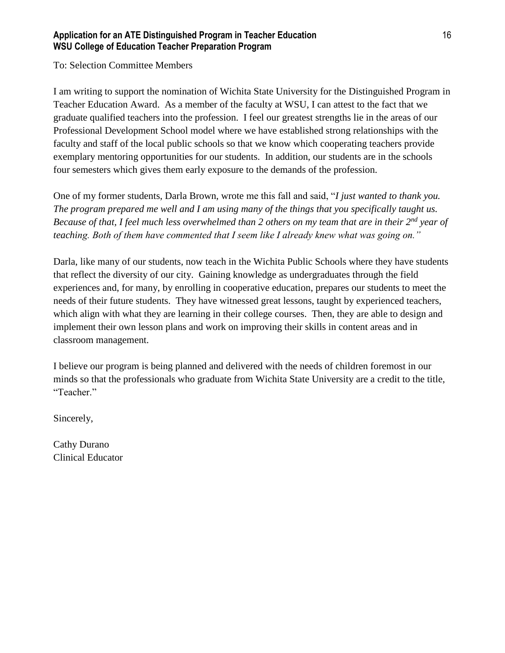To: Selection Committee Members

I am writing to support the nomination of Wichita State University for the Distinguished Program in Teacher Education Award. As a member of the faculty at WSU, I can attest to the fact that we graduate qualified teachers into the profession. I feel our greatest strengths lie in the areas of our Professional Development School model where we have established strong relationships with the faculty and staff of the local public schools so that we know which cooperating teachers provide exemplary mentoring opportunities for our students. In addition, our students are in the schools four semesters which gives them early exposure to the demands of the profession.

One of my former students, Darla Brown, wrote me this fall and said, "*I just wanted to thank you. The program prepared me well and I am using many of the things that you specifically taught us. Because of that, I feel much less overwhelmed than 2 others on my team that are in their 2nd year of teaching. Both of them have commented that I seem like I already knew what was going on."*

Darla, like many of our students, now teach in the Wichita Public Schools where they have students that reflect the diversity of our city. Gaining knowledge as undergraduates through the field experiences and, for many, by enrolling in cooperative education, prepares our students to meet the needs of their future students. They have witnessed great lessons, taught by experienced teachers, which align with what they are learning in their college courses. Then, they are able to design and implement their own lesson plans and work on improving their skills in content areas and in classroom management.

I believe our program is being planned and delivered with the needs of children foremost in our minds so that the professionals who graduate from Wichita State University are a credit to the title, "Teacher."

Sincerely,

Cathy Durano Clinical Educator